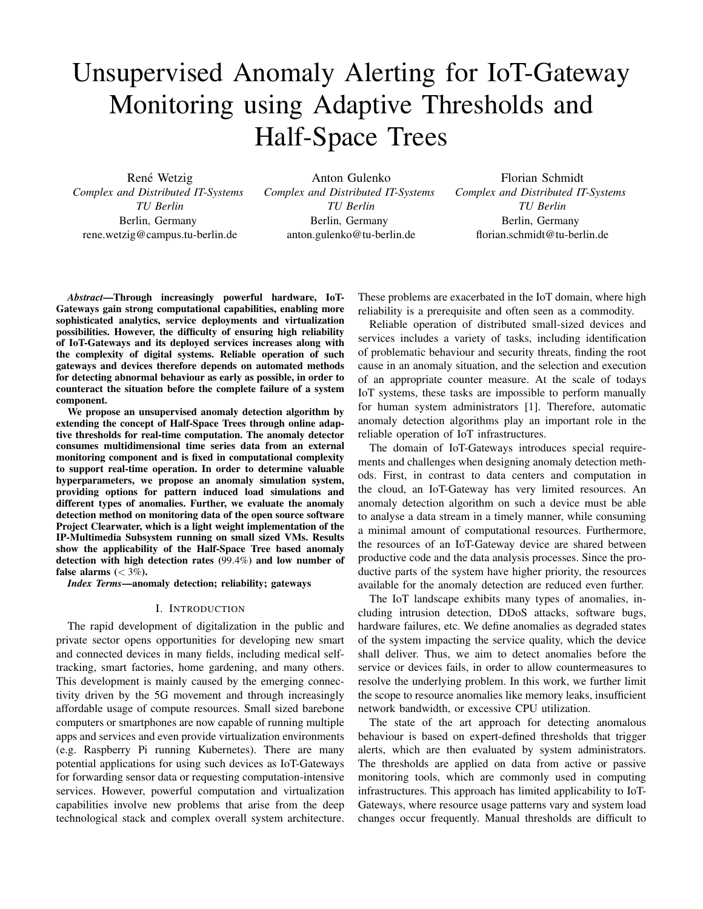# Unsupervised Anomaly Alerting for IoT-Gateway Monitoring using Adaptive Thresholds and Half-Space Trees

René Wetzig *Complex and Distributed IT-Systems TU Berlin* Berlin, Germany rene.wetzig@campus.tu-berlin.de

Anton Gulenko *Complex and Distributed IT-Systems TU Berlin* Berlin, Germany anton.gulenko@tu-berlin.de

Florian Schmidt *Complex and Distributed IT-Systems TU Berlin* Berlin, Germany florian.schmidt@tu-berlin.de

*Abstract*—Through increasingly powerful hardware, IoT-Gateways gain strong computational capabilities, enabling more sophisticated analytics, service deployments and virtualization possibilities. However, the difficulty of ensuring high reliability of IoT-Gateways and its deployed services increases along with the complexity of digital systems. Reliable operation of such gateways and devices therefore depends on automated methods for detecting abnormal behaviour as early as possible, in order to counteract the situation before the complete failure of a system component.

We propose an unsupervised anomaly detection algorithm by extending the concept of Half-Space Trees through online adaptive thresholds for real-time computation. The anomaly detector consumes multidimensional time series data from an external monitoring component and is fixed in computational complexity to support real-time operation. In order to determine valuable hyperparameters, we propose an anomaly simulation system, providing options for pattern induced load simulations and different types of anomalies. Further, we evaluate the anomaly detection method on monitoring data of the open source software Project Clearwater, which is a light weight implementation of the IP-Multimedia Subsystem running on small sized VMs. Results show the applicability of the Half-Space Tree based anomaly detection with high detection rates (99.4%) and low number of false alarms  $(< 3\%)$ .

*Index Terms*—anomaly detection; reliability; gateways

#### I. INTRODUCTION

The rapid development of digitalization in the public and private sector opens opportunities for developing new smart and connected devices in many fields, including medical selftracking, smart factories, home gardening, and many others. This development is mainly caused by the emerging connectivity driven by the 5G movement and through increasingly affordable usage of compute resources. Small sized barebone computers or smartphones are now capable of running multiple apps and services and even provide virtualization environments (e.g. Raspberry Pi running Kubernetes). There are many potential applications for using such devices as IoT-Gateways for forwarding sensor data or requesting computation-intensive services. However, powerful computation and virtualization capabilities involve new problems that arise from the deep technological stack and complex overall system architecture. These problems are exacerbated in the IoT domain, where high reliability is a prerequisite and often seen as a commodity.

Reliable operation of distributed small-sized devices and services includes a variety of tasks, including identification of problematic behaviour and security threats, finding the root cause in an anomaly situation, and the selection and execution of an appropriate counter measure. At the scale of todays IoT systems, these tasks are impossible to perform manually for human system administrators [1]. Therefore, automatic anomaly detection algorithms play an important role in the reliable operation of IoT infrastructures.

The domain of IoT-Gateways introduces special requirements and challenges when designing anomaly detection methods. First, in contrast to data centers and computation in the cloud, an IoT-Gateway has very limited resources. An anomaly detection algorithm on such a device must be able to analyse a data stream in a timely manner, while consuming a minimal amount of computational resources. Furthermore, the resources of an IoT-Gateway device are shared between productive code and the data analysis processes. Since the productive parts of the system have higher priority, the resources available for the anomaly detection are reduced even further.

The IoT landscape exhibits many types of anomalies, including intrusion detection, DDoS attacks, software bugs, hardware failures, etc. We define anomalies as degraded states of the system impacting the service quality, which the device shall deliver. Thus, we aim to detect anomalies before the service or devices fails, in order to allow countermeasures to resolve the underlying problem. In this work, we further limit the scope to resource anomalies like memory leaks, insufficient network bandwidth, or excessive CPU utilization.

The state of the art approach for detecting anomalous behaviour is based on expert-defined thresholds that trigger alerts, which are then evaluated by system administrators. The thresholds are applied on data from active or passive monitoring tools, which are commonly used in computing infrastructures. This approach has limited applicability to IoT-Gateways, where resource usage patterns vary and system load changes occur frequently. Manual thresholds are difficult to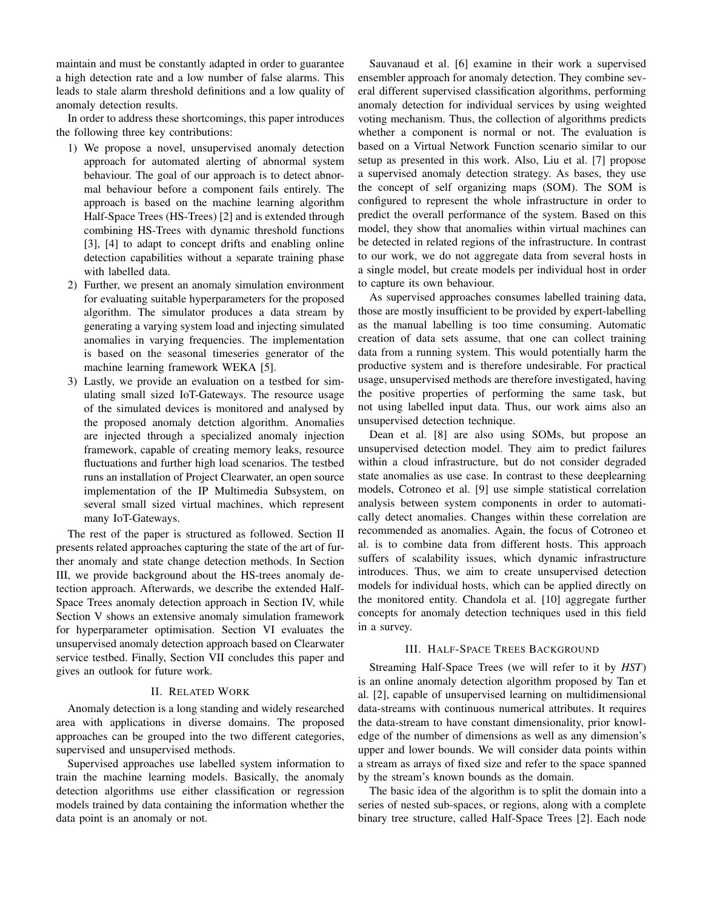maintain and must be constantly adapted in order to guarantee a high detection rate and a low number of false alarms. This leads to stale alarm threshold definitions and a low quality of anomaly detection results.

In order to address these shortcomings, this paper introduces the following three key contributions:

- 1) We propose a novel, unsupervised anomaly detection approach for automated alerting of abnormal system behaviour. The goal of our approach is to detect abnormal behaviour before a component fails entirely. The approach is based on the machine learning algorithm Half-Space Trees (HS-Trees) [2] and is extended through combining HS-Trees with dynamic threshold functions [3], [4] to adapt to concept drifts and enabling online detection capabilities without a separate training phase with labelled data.
- 2) Further, we present an anomaly simulation environment for evaluating suitable hyperparameters for the proposed algorithm. The simulator produces a data stream by generating a varying system load and injecting simulated anomalies in varying frequencies. The implementation is based on the seasonal timeseries generator of the machine learning framework WEKA [5].
- 3) Lastly, we provide an evaluation on a testbed for simulating small sized IoT-Gateways. The resource usage of the simulated devices is monitored and analysed by the proposed anomaly detction algorithm. Anomalies are injected through a specialized anomaly injection framework, capable of creating memory leaks, resource fluctuations and further high load scenarios. The testbed runs an installation of Project Clearwater, an open source implementation of the IP Multimedia Subsystem, on several small sized virtual machines, which represent many IoT-Gateways.

The rest of the paper is structured as followed. Section II presents related approaches capturing the state of the art of further anomaly and state change detection methods. In Section III, we provide background about the HS-trees anomaly detection approach. Afterwards, we describe the extended Half-Space Trees anomaly detection approach in Section IV, while Section V shows an extensive anomaly simulation framework for hyperparameter optimisation. Section VI evaluates the unsupervised anomaly detection approach based on Clearwater service testbed. Finally, Section VII concludes this paper and gives an outlook for future work.

# II. RELATED WORK

Anomaly detection is a long standing and widely researched area with applications in diverse domains. The proposed approaches can be grouped into the two different categories, supervised and unsupervised methods.

Supervised approaches use labelled system information to train the machine learning models. Basically, the anomaly detection algorithms use either classification or regression models trained by data containing the information whether the data point is an anomaly or not.

Sauvanaud et al. [6] examine in their work a supervised ensembler approach for anomaly detection. They combine several different supervised classification algorithms, performing anomaly detection for individual services by using weighted voting mechanism. Thus, the collection of algorithms predicts whether a component is normal or not. The evaluation is based on a Virtual Network Function scenario similar to our setup as presented in this work. Also, Liu et al. [7] propose a supervised anomaly detection strategy. As bases, they use the concept of self organizing maps (SOM). The SOM is configured to represent the whole infrastructure in order to predict the overall performance of the system. Based on this model, they show that anomalies within virtual machines can be detected in related regions of the infrastructure. In contrast to our work, we do not aggregate data from several hosts in a single model, but create models per individual host in order to capture its own behaviour.

As supervised approaches consumes labelled training data, those are mostly insufficient to be provided by expert-labelling as the manual labelling is too time consuming. Automatic creation of data sets assume, that one can collect training data from a running system. This would potentially harm the productive system and is therefore undesirable. For practical usage, unsupervised methods are therefore investigated, having the positive properties of performing the same task, but not using labelled input data. Thus, our work aims also an unsupervised detection technique.

Dean et al. [8] are also using SOMs, but propose an unsupervised detection model. They aim to predict failures within a cloud infrastructure, but do not consider degraded state anomalies as use case. In contrast to these deeplearning models, Cotroneo et al. [9] use simple statistical correlation analysis between system components in order to automatically detect anomalies. Changes within these correlation are recommended as anomalies. Again, the focus of Cotroneo et al. is to combine data from different hosts. This approach suffers of scalability issues, which dynamic infrastructure introduces. Thus, we aim to create unsupervised detection models for individual hosts, which can be applied directly on the monitored entity. Chandola et al. [10] aggregate further concepts for anomaly detection techniques used in this field in a survey.

# III. HALF-SPACE TREES BACKGROUND

Streaming Half-Space Trees (we will refer to it by *HST*) is an online anomaly detection algorithm proposed by Tan et al. [2], capable of unsupervised learning on multidimensional data-streams with continuous numerical attributes. It requires the data-stream to have constant dimensionality, prior knowledge of the number of dimensions as well as any dimension's upper and lower bounds. We will consider data points within a stream as arrays of fixed size and refer to the space spanned by the stream's known bounds as the domain.

The basic idea of the algorithm is to split the domain into a series of nested sub-spaces, or regions, along with a complete binary tree structure, called Half-Space Trees [2]. Each node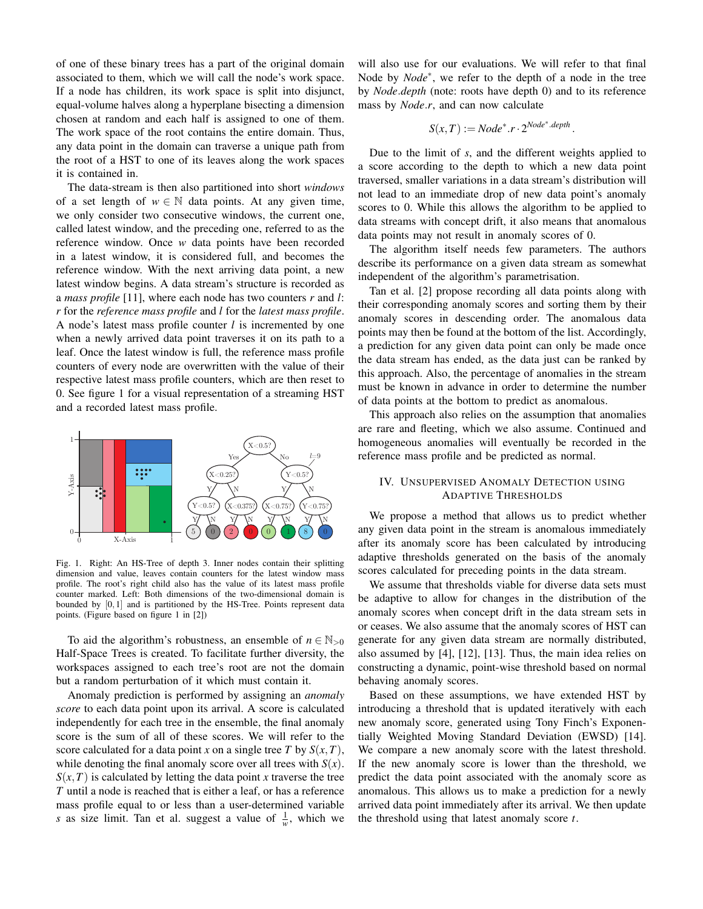of one of these binary trees has a part of the original domain associated to them, which we will call the node's work space. If a node has children, its work space is split into disjunct, equal-volume halves along a hyperplane bisecting a dimension chosen at random and each half is assigned to one of them. The work space of the root contains the entire domain. Thus, any data point in the domain can traverse a unique path from the root of a HST to one of its leaves along the work spaces it is contained in.

The data-stream is then also partitioned into short *windows* of a set length of  $w \in \mathbb{N}$  data points. At any given time, we only consider two consecutive windows, the current one, called latest window, and the preceding one, referred to as the reference window. Once *w* data points have been recorded in a latest window, it is considered full, and becomes the reference window. With the next arriving data point, a new latest window begins. A data stream's structure is recorded as a *mass profile* [11], where each node has two counters *r* and *l*: *r* for the *reference mass profile* and *l* for the *latest mass profile*. A node's latest mass profile counter *l* is incremented by one when a newly arrived data point traverses it on its path to a leaf. Once the latest window is full, the reference mass profile counters of every node are overwritten with the value of their respective latest mass profile counters, which are then reset to 0. See figure 1 for a visual representation of a streaming HST and a recorded latest mass profile.



Fig. 1. Right: An HS-Tree of depth 3. Inner nodes contain their splitting dimension and value, leaves contain counters for the latest window mass profile. The root's right child also has the value of its latest mass profile counter marked. Left: Both dimensions of the two-dimensional domain is bounded by [0,1] and is partitioned by the HS-Tree. Points represent data points. (Figure based on figure 1 in [2])

To aid the algorithm's robustness, an ensemble of  $n \in \mathbb{N}_{>0}$ Half-Space Trees is created. To facilitate further diversity, the workspaces assigned to each tree's root are not the domain but a random perturbation of it which must contain it.

Anomaly prediction is performed by assigning an *anomaly score* to each data point upon its arrival. A score is calculated independently for each tree in the ensemble, the final anomaly score is the sum of all of these scores. We will refer to the score calculated for a data point *x* on a single tree *T* by  $S(x, T)$ , while denoting the final anomaly score over all trees with  $S(x)$ .  $S(x, T)$  is calculated by letting the data point *x* traverse the tree *T* until a node is reached that is either a leaf, or has a reference mass profile equal to or less than a user-determined variable *s* as size limit. Tan et al. suggest a value of  $\frac{1}{w}$ , which we

will also use for our evaluations. We will refer to that final Node by *Node*<sup>∗</sup> , we refer to the depth of a node in the tree by *Node*.*depth* (note: roots have depth 0) and to its reference mass by *Node*.*r*, and can now calculate

$$
S(x,T) := Node^*.r \cdot 2^{Node^*.depth}
$$

.

Due to the limit of *s*, and the different weights applied to a score according to the depth to which a new data point traversed, smaller variations in a data stream's distribution will not lead to an immediate drop of new data point's anomaly scores to 0. While this allows the algorithm to be applied to data streams with concept drift, it also means that anomalous data points may not result in anomaly scores of 0.

The algorithm itself needs few parameters. The authors describe its performance on a given data stream as somewhat independent of the algorithm's parametrisation.

Tan et al. [2] propose recording all data points along with their corresponding anomaly scores and sorting them by their anomaly scores in descending order. The anomalous data points may then be found at the bottom of the list. Accordingly, a prediction for any given data point can only be made once the data stream has ended, as the data just can be ranked by this approach. Also, the percentage of anomalies in the stream must be known in advance in order to determine the number of data points at the bottom to predict as anomalous.

This approach also relies on the assumption that anomalies are rare and fleeting, which we also assume. Continued and homogeneous anomalies will eventually be recorded in the reference mass profile and be predicted as normal.

# IV. UNSUPERVISED ANOMALY DETECTION USING ADAPTIVE THRESHOLDS

We propose a method that allows us to predict whether any given data point in the stream is anomalous immediately after its anomaly score has been calculated by introducing adaptive thresholds generated on the basis of the anomaly scores calculated for preceding points in the data stream.

We assume that thresholds viable for diverse data sets must be adaptive to allow for changes in the distribution of the anomaly scores when concept drift in the data stream sets in or ceases. We also assume that the anomaly scores of HST can generate for any given data stream are normally distributed, also assumed by [4], [12], [13]. Thus, the main idea relies on constructing a dynamic, point-wise threshold based on normal behaving anomaly scores.

Based on these assumptions, we have extended HST by introducing a threshold that is updated iteratively with each new anomaly score, generated using Tony Finch's Exponentially Weighted Moving Standard Deviation (EWSD) [14]. We compare a new anomaly score with the latest threshold. If the new anomaly score is lower than the threshold, we predict the data point associated with the anomaly score as anomalous. This allows us to make a prediction for a newly arrived data point immediately after its arrival. We then update the threshold using that latest anomaly score *t*.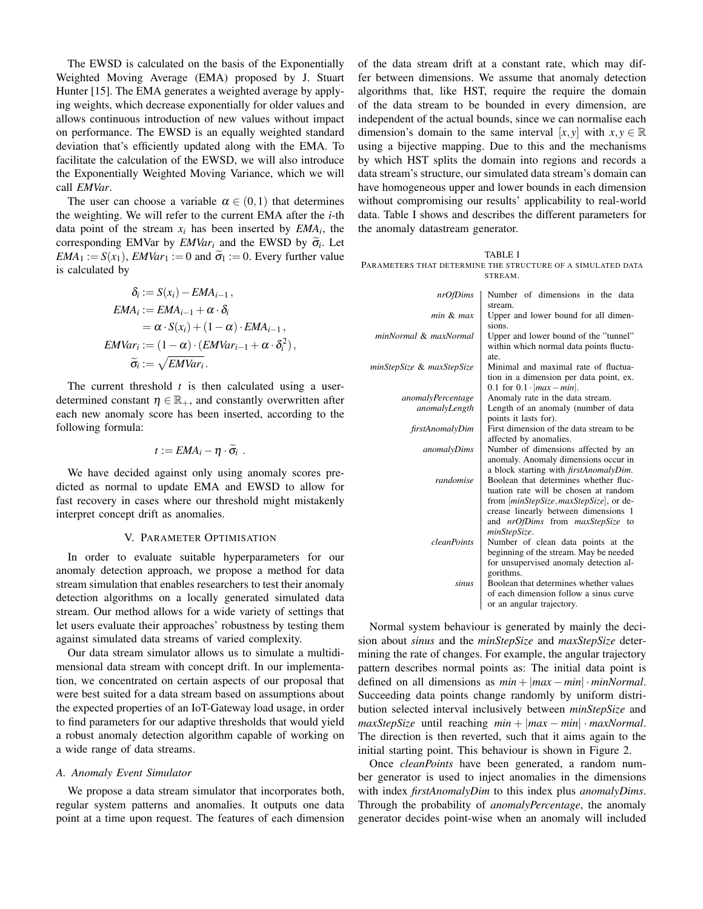The EWSD is calculated on the basis of the Exponentially Weighted Moving Average (EMA) proposed by J. Stuart Hunter [15]. The EMA generates a weighted average by applying weights, which decrease exponentially for older values and allows continuous introduction of new values without impact on performance. The EWSD is an equally weighted standard deviation that's efficiently updated along with the EMA. To facilitate the calculation of the EWSD, we will also introduce the Exponentially Weighted Moving Variance, which we will call *EMVar*.

The user can choose a variable  $\alpha \in (0,1)$  that determines the weighting. We will refer to the current EMA after the *i*-th data point of the stream  $x_i$  has been inserted by  $EMA_i$ , the corresponding EMVar by *EMVar<sub>i</sub>* and the EWSD by  $\tilde{\sigma}_i$ . Let  $EM_{i} = S(x_i)$ , *EMVar<sub>i</sub>*  $:= 0$  and  $\tilde{\sigma}_i := 0$ . Every further value *EMA*<sub>1</sub> := *S*(*x*<sub>1</sub>), *EMVar*<sub>1</sub> := 0 and  $\tilde{\sigma}_1$  := 0. Every further value is calculated by

$$
\delta_i := S(x_i) - EMA_{i-1},
$$
  
\n
$$
EMA_i := EMA_{i-1} + \alpha \cdot \delta_i
$$
  
\n
$$
= \alpha \cdot S(x_i) + (1 - \alpha) \cdot EMA_{i-1},
$$
  
\n
$$
EMVar_i := (1 - \alpha) \cdot (EMVar_{i-1} + \alpha \cdot \delta_i^2),
$$
  
\n
$$
\widetilde{\sigma}_i := \sqrt{EMVar_i}.
$$

The current threshold *t* is then calculated using a userdetermined constant  $\eta \in \mathbb{R}_+$ , and constantly overwritten after each new anomaly score has been inserted, according to the following formula:

$$
t := EMA_i - \eta \cdot \widetilde{\sigma}_i \ .
$$

We have decided against only using anomaly scores predicted as normal to update EMA and EWSD to allow for fast recovery in cases where our threshold might mistakenly interpret concept drift as anomalies.

#### V. PARAMETER OPTIMISATION

In order to evaluate suitable hyperparameters for our anomaly detection approach, we propose a method for data stream simulation that enables researchers to test their anomaly detection algorithms on a locally generated simulated data stream. Our method allows for a wide variety of settings that let users evaluate their approaches' robustness by testing them against simulated data streams of varied complexity.

Our data stream simulator allows us to simulate a multidimensional data stream with concept drift. In our implementation, we concentrated on certain aspects of our proposal that were best suited for a data stream based on assumptions about the expected properties of an IoT-Gateway load usage, in order to find parameters for our adaptive thresholds that would yield a robust anomaly detection algorithm capable of working on a wide range of data streams.

#### *A. Anomaly Event Simulator*

We propose a data stream simulator that incorporates both, regular system patterns and anomalies. It outputs one data point at a time upon request. The features of each dimension of the data stream drift at a constant rate, which may differ between dimensions. We assume that anomaly detection algorithms that, like HST, require the require the domain of the data stream to be bounded in every dimension, are independent of the actual bounds, since we can normalise each dimension's domain to the same interval [ $x, y$ ] with  $x, y \in \mathbb{R}$ using a bijective mapping. Due to this and the mechanisms by which HST splits the domain into regions and records a data stream's structure, our simulated data stream's domain can have homogeneous upper and lower bounds in each dimension without compromising our results' applicability to real-world data. Table I shows and describes the different parameters for the anomaly datastream generator.

TABLE I PARAMETERS THAT DETERMINE THE STRUCTURE OF A SIMULATED DATA STREAM.

| nrOfDims                  | Number of dimensions in the data               |
|---------------------------|------------------------------------------------|
|                           | stream.                                        |
| min & max                 | Upper and lower bound for all dimen-           |
|                           | sions.                                         |
| minNormal & maxNormal     | Upper and lower bound of the "tunnel"          |
|                           | within which normal data points fluctu-        |
|                           | ate.                                           |
| minStepSize & maxStepSize | Minimal and maximal rate of fluctua-           |
|                           | tion in a dimension per data point, ex.        |
|                           | 0.1 for $0.1 \cdot  max - min $ .              |
| anomalyPercentage         | Anomaly rate in the data stream.               |
| anomalyLength             | Length of an anomaly (number of data           |
|                           | points it lasts for).                          |
| firstAnomalyDim           | First dimension of the data stream to be       |
|                           | affected by anomalies.                         |
| anomalyDims               | Number of dimensions affected by an            |
|                           | anomaly. Anomaly dimensions occur in           |
|                           | a block starting with <i>firstAnomalyDim</i> . |
| randomise                 | Boolean that determines whether fluc-          |
|                           | tuation rate will be chosen at random          |
|                           | from <i>minStepSize, maxStepSize</i> , or de-  |
|                           | crease linearly between dimensions 1           |
|                           | and <i>nrOfDims</i> from <i>maxStepSize</i> to |
|                           | minStepSize.                                   |
| <i>cleanPoints</i>        | Number of clean data points at the             |
|                           | beginning of the stream. May be needed         |
|                           | for unsupervised anomaly detection al-         |
|                           | gorithms.                                      |
| sinus                     | Boolean that determines whether values         |
|                           | of each dimension follow a sinus curve         |
|                           | or an angular trajectory.                      |

Normal system behaviour is generated by mainly the decision about *sinus* and the *minStepSize* and *maxStepSize* determining the rate of changes. For example, the angular trajectory pattern describes normal points as: The initial data point is defined on all dimensions as  $min + |max - min| \cdot minNormal$ . Succeeding data points change randomly by uniform distribution selected interval inclusively between *minStepSize* and  $maxStepSize$  until reaching  $min + |max - min| \cdot maxNormal$ . The direction is then reverted, such that it aims again to the initial starting point. This behaviour is shown in Figure 2.

Once *cleanPoints* have been generated, a random number generator is used to inject anomalies in the dimensions with index *firstAnomalyDim* to this index plus *anomalyDims*. Through the probability of *anomalyPercentage*, the anomaly generator decides point-wise when an anomaly will included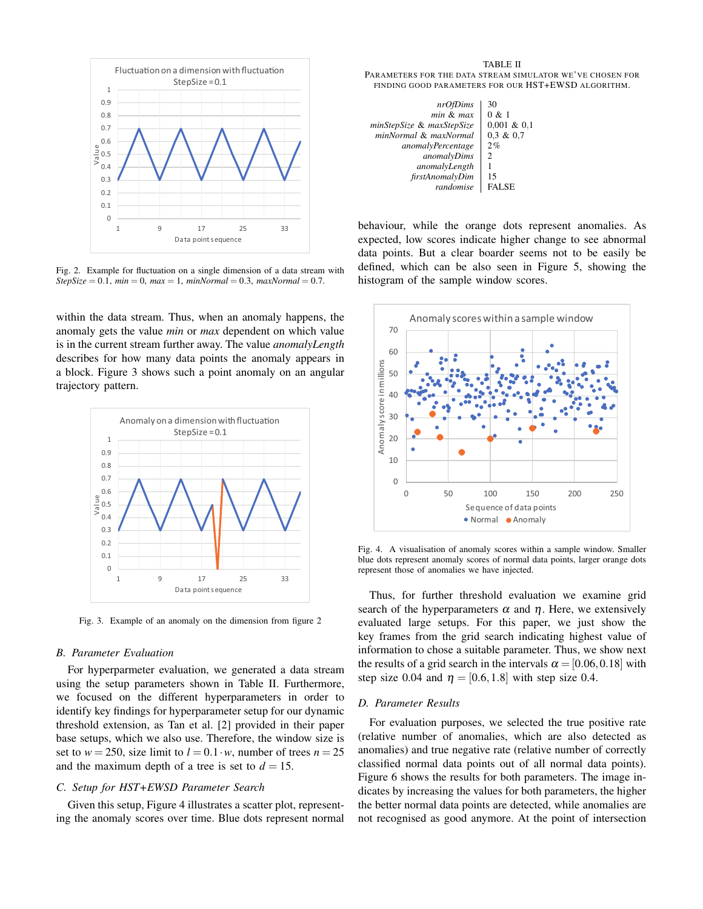

Fig. 2. Example for fluctuation on a single dimension of a data stream with  $StepSize = 0.1$ ,  $min = 0$ ,  $max = 1$ ,  $minNormal = 0.3$ ,  $maxNormal = 0.7$ .

within the data stream. Thus, when an anomaly happens, the anomaly gets the value *min* or *max* dependent on which value is in the current stream further away. The value *anomalyLength* describes for how many data points the anomaly appears in a block. Figure 3 shows such a point anomaly on an angular trajectory pattern.



Fig. 3. Example of an anomaly on the dimension from figure 2

#### *B. Parameter Evaluation*

For hyperparmeter evaluation, we generated a data stream using the setup parameters shown in Table II. Furthermore, we focused on the different hyperparameters in order to identify key findings for hyperparameter setup for our dynamic threshold extension, as Tan et al. [2] provided in their paper base setups, which we also use. Therefore, the window size is set to  $w = 250$ , size limit to  $l = 0.1 \cdot w$ , number of trees  $n = 25$ and the maximum depth of a tree is set to  $d = 15$ .

### *C. Setup for HST+EWSD Parameter Search*

Given this setup, Figure 4 illustrates a scatter plot, representing the anomaly scores over time. Blue dots represent normal

TABLE II PARAMETERS FOR THE DATA STREAM SIMULATOR WE'VE CHOSEN FOR FINDING GOOD PARAMETERS FOR OUR HST+EWSD ALGORITHM.

| nrOfDims                  | 30             |
|---------------------------|----------------|
| $min$ & $max$             | 0 & 1          |
| minStepSize & maxStepSize | $0.001 \& 0.1$ |
| minNormal & maxNormal     | $0.3 \& 0.7$   |
| <i>anomalyPercentage</i>  | 2%             |
| anomalyDims               | 2              |
| anomalyLength             |                |
| firstAnomalyDim           | 15             |
| randomise                 | <b>FALSE</b>   |
|                           |                |

behaviour, while the orange dots represent anomalies. As expected, low scores indicate higher change to see abnormal data points. But a clear boarder seems not to be easily be defined, which can be also seen in Figure 5, showing the histogram of the sample window scores.



Fig. 4. A visualisation of anomaly scores within a sample window. Smaller blue dots represent anomaly scores of normal data points, larger orange dots represent those of anomalies we have injected.

Thus, for further threshold evaluation we examine grid search of the hyperparameters  $\alpha$  and  $\eta$ . Here, we extensively evaluated large setups. For this paper, we just show the key frames from the grid search indicating highest value of information to chose a suitable parameter. Thus, we show next the results of a grid search in the intervals  $\alpha = [0.06, 0.18]$  with step size 0.04 and  $\eta = [0.6, 1.8]$  with step size 0.4.

### *D. Parameter Results*

For evaluation purposes, we selected the true positive rate (relative number of anomalies, which are also detected as anomalies) and true negative rate (relative number of correctly classified normal data points out of all normal data points). Figure 6 shows the results for both parameters. The image indicates by increasing the values for both parameters, the higher the better normal data points are detected, while anomalies are not recognised as good anymore. At the point of intersection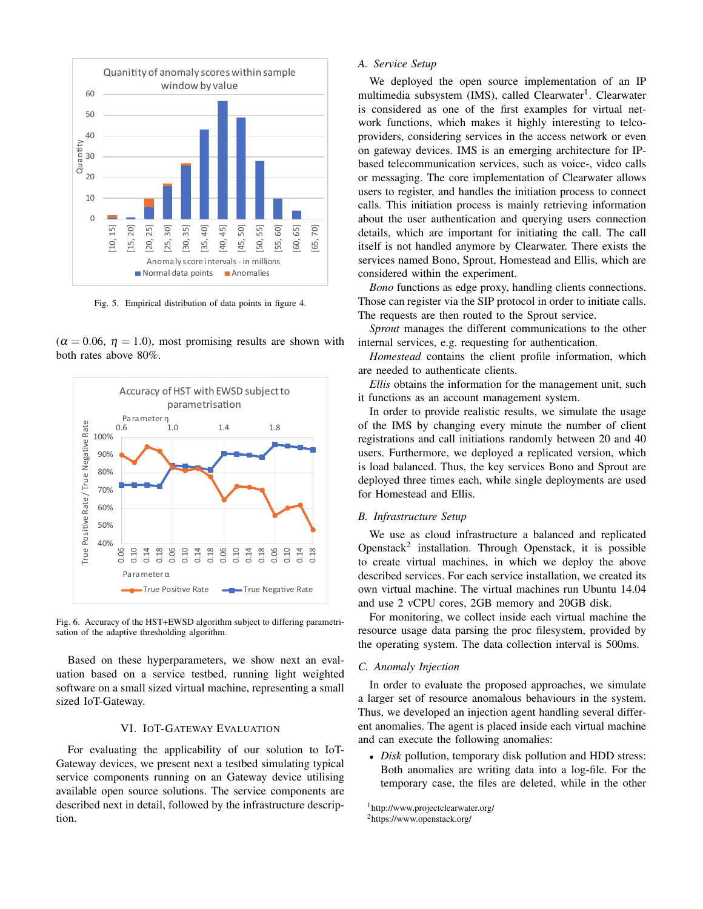

Fig. 5. Empirical distribution of data points in figure 4.

 $(\alpha = 0.06, \eta = 1.0)$ , most promising results are shown with both rates above 80%.



Fig. 6. Accuracy of the HST+EWSD algorithm subject to differing parametrisation of the adaptive thresholding algorithm.

Based on these hyperparameters, we show next an evaluation based on a service testbed, running light weighted software on a small sized virtual machine, representing a small sized IoT-Gateway.

#### VI. IOT-GATEWAY EVALUATION

For evaluating the applicability of our solution to IoT-Gateway devices, we present next a testbed simulating typical service components running on an Gateway device utilising available open source solutions. The service components are described next in detail, followed by the infrastructure description.

# *A. Service Setup*

We deployed the open source implementation of an IP multimedia subsystem (IMS), called Clearwater<sup>1</sup>. Clearwater is considered as one of the first examples for virtual network functions, which makes it highly interesting to telcoproviders, considering services in the access network or even on gateway devices. IMS is an emerging architecture for IPbased telecommunication services, such as voice-, video calls or messaging. The core implementation of Clearwater allows users to register, and handles the initiation process to connect calls. This initiation process is mainly retrieving information about the user authentication and querying users connection details, which are important for initiating the call. The call itself is not handled anymore by Clearwater. There exists the services named Bono, Sprout, Homestead and Ellis, which are considered within the experiment.

*Bono* functions as edge proxy, handling clients connections. Those can register via the SIP protocol in order to initiate calls. The requests are then routed to the Sprout service.

*Sprout* manages the different communications to the other internal services, e.g. requesting for authentication.

*Homestead* contains the client profile information, which are needed to authenticate clients.

*Ellis* obtains the information for the management unit, such it functions as an account management system.

In order to provide realistic results, we simulate the usage of the IMS by changing every minute the number of client registrations and call initiations randomly between 20 and 40 users. Furthermore, we deployed a replicated version, which is load balanced. Thus, the key services Bono and Sprout are deployed three times each, while single deployments are used for Homestead and Ellis.

# *B. Infrastructure Setup*

We use as cloud infrastructure a balanced and replicated Openstack<sup>2</sup> installation. Through Openstack, it is possible to create virtual machines, in which we deploy the above described services. For each service installation, we created its own virtual machine. The virtual machines run Ubuntu 14.04 and use 2 vCPU cores, 2GB memory and 20GB disk.

For monitoring, we collect inside each virtual machine the resource usage data parsing the proc filesystem, provided by the operating system. The data collection interval is 500ms.

#### *C. Anomaly Injection*

In order to evaluate the proposed approaches, we simulate a larger set of resource anomalous behaviours in the system. Thus, we developed an injection agent handling several different anomalies. The agent is placed inside each virtual machine and can execute the following anomalies:

• *Disk* pollution, temporary disk pollution and HDD stress: Both anomalies are writing data into a log-file. For the temporary case, the files are deleted, while in the other

<sup>1</sup>http://www.projectclearwater.org/ <sup>2</sup>https://www.openstack.org/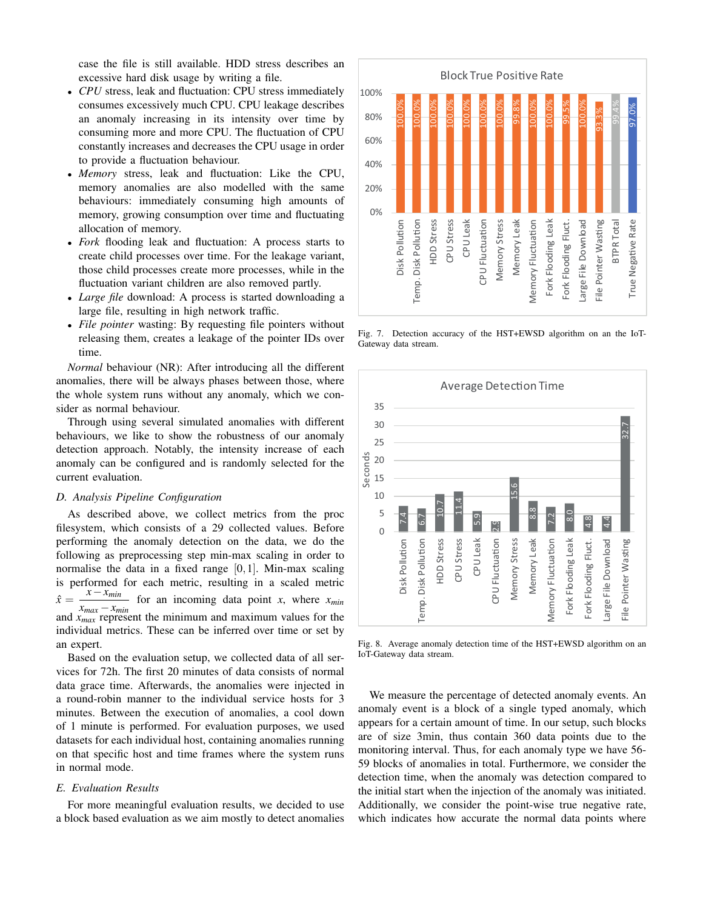case the file is still available. HDD stress describes an excessive hard disk usage by writing a file.

- *CPU* stress, leak and fluctuation: CPU stress immediately consumes excessively much CPU. CPU leakage describes an anomaly increasing in its intensity over time by consuming more and more CPU. The fluctuation of CPU constantly increases and decreases the CPU usage in order to provide a fluctuation behaviour.
- *Memory* stress, leak and fluctuation: Like the CPU, memory anomalies are also modelled with the same behaviours: immediately consuming high amounts of memory, growing consumption over time and fluctuating allocation of memory.
- *Fork* flooding leak and fluctuation: A process starts to create child processes over time. For the leakage variant, those child processes create more processes, while in the fluctuation variant children are also removed partly.
- *Large file* download: A process is started downloading a large file, resulting in high network traffic.
- *File pointer* wasting: By requesting file pointers without releasing them, creates a leakage of the pointer IDs over time.

*Normal* behaviour (NR): After introducing all the different anomalies, there will be always phases between those, where the whole system runs without any anomaly, which we consider as normal behaviour.

Through using several simulated anomalies with different behaviours, we like to show the robustness of our anomaly detection approach. Notably, the intensity increase of each anomaly can be configured and is randomly selected for the current evaluation.

## *D. Analysis Pipeline Configuration*

As described above, we collect metrics from the proc filesystem, which consists of a 29 collected values. Before performing the anomaly detection on the data, we do the following as preprocessing step min-max scaling in order to normalise the data in a fixed range  $[0,1]$ . Min-max scaling is performed for each metric, resulting in a scaled metric  $\hat{x} =$  $\frac{x - x_{min}}{x - x_{min}}$  for an incoming data point *x*, where *x*<sub>*min*</sub>  $x_{max} - x_{min}$ and *x*<sub>*max*</sub> represent the minimum and maximum values for the individual metrics. These can be inferred over time or set by an expert.

Based on the evaluation setup, we collected data of all services for 72h. The first 20 minutes of data consists of normal data grace time. Afterwards, the anomalies were injected in a round-robin manner to the individual service hosts for 3 minutes. Between the execution of anomalies, a cool down of 1 minute is performed. For evaluation purposes, we used datasets for each individual host, containing anomalies running on that specific host and time frames where the system runs in normal mode.

# *E. Evaluation Results*

For more meaningful evaluation results, we decided to use a block based evaluation as we aim mostly to detect anomalies



Fig. 7. Detection accuracy of the HST+EWSD algorithm on an the IoT-Gateway data stream.



Fig. 8. Average anomaly detection time of the HST+EWSD algorithm on an IoT-Gateway data stream.

We measure the percentage of detected anomaly events. An anomaly event is a block of a single typed anomaly, which appears for a certain amount of time. In our setup, such blocks are of size 3min, thus contain 360 data points due to the monitoring interval. Thus, for each anomaly type we have 56- 59 blocks of anomalies in total. Furthermore, we consider the detection time, when the anomaly was detection compared to the initial start when the injection of the anomaly was initiated. Additionally, we consider the point-wise true negative rate, which indicates how accurate the normal data points where